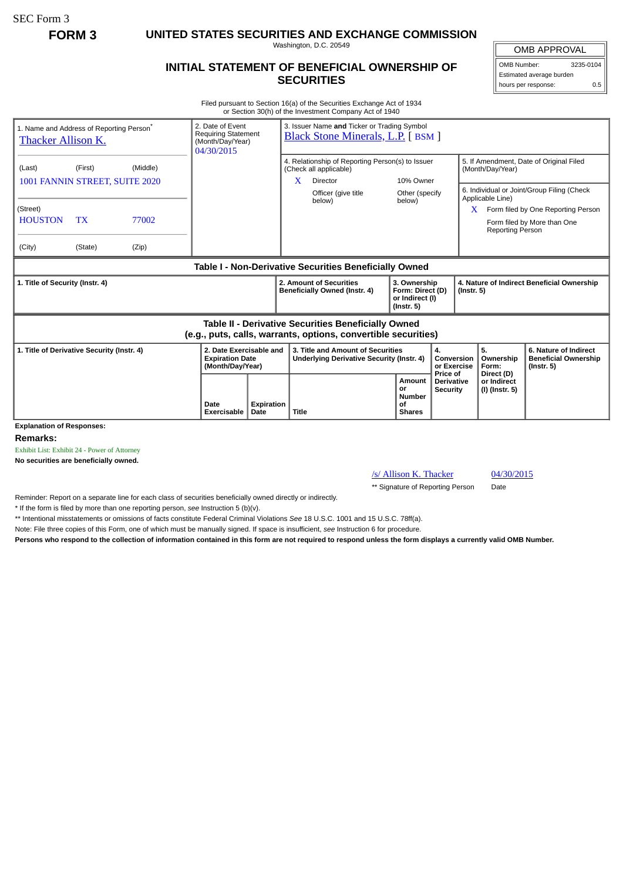SEC Form 3

**FORM 3 UNITED STATES SECURITIES AND EXCHANGE COMMISSION**

Washington, D.C. 20549

## **INITIAL STATEMENT OF BENEFICIAL OWNERSHIP OF SECURITIES**

OMB APPROVAL OMB Number: 3235-0104

Estimated average burden hours per response: 0.5

Filed pursuant to Section 16(a) of the Securities Exchange Act of 1934 or Section 30(h) of the Investment Company Act of 1940

| 1. Name and Address of Reporting Person <sup>®</sup><br><b>Thacker Allison K.</b>                                            | 2. Date of Event<br><b>Requiring Statement</b><br>(Month/Day/Year)<br>04/30/2015 |                            | 3. Issuer Name and Ticker or Trading Symbol<br><b>Black Stone Minerals, L.P.</b> [BSM ] |                                                                       |                                                          |                                                                                                                                |                                       |                                                                         |                                           |                                                                |                                                                                                                                                                                                                                    |                                                                          |
|------------------------------------------------------------------------------------------------------------------------------|----------------------------------------------------------------------------------|----------------------------|-----------------------------------------------------------------------------------------|-----------------------------------------------------------------------|----------------------------------------------------------|--------------------------------------------------------------------------------------------------------------------------------|---------------------------------------|-------------------------------------------------------------------------|-------------------------------------------|----------------------------------------------------------------|------------------------------------------------------------------------------------------------------------------------------------------------------------------------------------------------------------------------------------|--------------------------------------------------------------------------|
| (Last)<br>1001 FANNIN STREET, SUITE 2020<br>(Street)<br><b>HOUSTON</b><br>(City)                                             | (First)<br><b>TX</b><br>(State)                                                  | (Middle)<br>77002<br>(Zip) |                                                                                         |                                                                       | X.                                                       | 4. Relationship of Reporting Person(s) to Issuer<br>(Check all applicable)<br><b>Director</b><br>Officer (give title<br>below) | 10% Owner<br>Other (specify<br>below) |                                                                         |                                           |                                                                | 5. If Amendment, Date of Original Filed<br>(Month/Day/Year)<br>6. Individual or Joint/Group Filing (Check<br>Applicable Line)<br>Form filed by One Reporting Person<br>X<br>Form filed by More than One<br><b>Reporting Person</b> |                                                                          |
|                                                                                                                              |                                                                                  |                            |                                                                                         |                                                                       |                                                          | Table I - Non-Derivative Securities Beneficially Owned                                                                         |                                       |                                                                         |                                           |                                                                |                                                                                                                                                                                                                                    |                                                                          |
| 1. Title of Security (Instr. 4)                                                                                              |                                                                                  |                            |                                                                                         |                                                                       | 2. Amount of Securities<br>Beneficially Owned (Instr. 4) |                                                                                                                                |                                       | 3. Ownership<br>Form: Direct (D)<br>or Indirect (I)<br>$($ Instr. 5 $)$ |                                           | 4. Nature of Indirect Beneficial Ownership<br>$($ lnstr. 5 $)$ |                                                                                                                                                                                                                                    |                                                                          |
| <b>Table II - Derivative Securities Beneficially Owned</b><br>(e.g., puts, calls, warrants, options, convertible securities) |                                                                                  |                            |                                                                                         |                                                                       |                                                          |                                                                                                                                |                                       |                                                                         |                                           |                                                                |                                                                                                                                                                                                                                    |                                                                          |
| 1. Title of Derivative Security (Instr. 4)                                                                                   |                                                                                  |                            |                                                                                         | 2. Date Exercisable and<br><b>Expiration Date</b><br>(Month/Day/Year) |                                                          | 3. Title and Amount of Securities<br>Underlying Derivative Security (Instr. 4)                                                 |                                       | 4.                                                                      |                                           | Conversion<br>or Exercise                                      | 5.<br>Ownership<br>Form:                                                                                                                                                                                                           | 6. Nature of Indirect<br><b>Beneficial Ownership</b><br>$($ Instr. 5 $)$ |
| <b>Explanation of Responses:</b>                                                                                             |                                                                                  |                            | Date<br><b>Exercisable</b>                                                              | Expiration<br>Date                                                    | <b>Title</b>                                             |                                                                                                                                |                                       | Amount<br>or<br>Number<br>of<br><b>Shares</b>                           | Price of<br><b>Derivative</b><br>Security |                                                                | Direct (D)<br>or Indirect<br>(I) (Instr. 5)                                                                                                                                                                                        |                                                                          |

**Remarks:**

Exhibit List: Exhibit 24 - Power of Attorney

**No securities are beneficially owned.**

/s/ Allison K. Thacker 04/30/2015

\*\* Signature of Reporting Person Date

Reminder: Report on a separate line for each class of securities beneficially owned directly or indirectly.

\* If the form is filed by more than one reporting person, *see* Instruction 5 (b)(v).

\*\* Intentional misstatements or omissions of facts constitute Federal Criminal Violations *See* 18 U.S.C. 1001 and 15 U.S.C. 78ff(a).

Note: File three copies of this Form, one of which must be manually signed. If space is insufficient, *see* Instruction 6 for procedure.

**Persons who respond to the collection of information contained in this form are not required to respond unless the form displays a currently valid OMB Number.**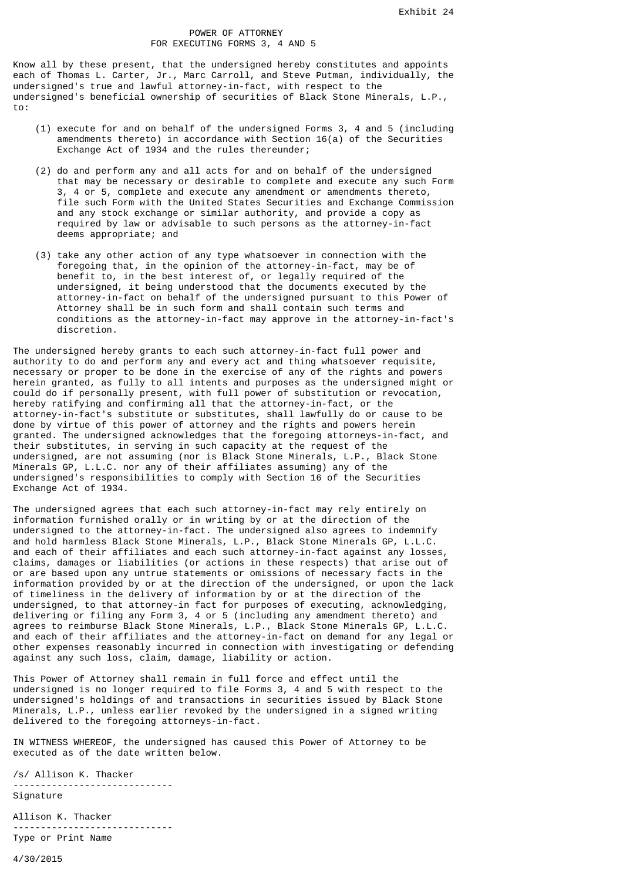## POWER OF ATTORNEY FOR EXECUTING FORMS 3, 4 AND 5

Know all by these present, that the undersigned hereby constitutes and appoints each of Thomas L. Carter, Jr., Marc Carroll, and Steve Putman, individually, the undersigned's true and lawful attorney-in-fact, with respect to the undersigned's beneficial ownership of securities of Black Stone Minerals, L.P., to:

- (1) execute for and on behalf of the undersigned Forms 3, 4 and 5 (including amendments thereto) in accordance with Section  $16(a)$  of the Securities Exchange Act of 1934 and the rules thereunder;
- (2) do and perform any and all acts for and on behalf of the undersigned that may be necessary or desirable to complete and execute any such Form 3, 4 or 5, complete and execute any amendment or amendments thereto, file such Form with the United States Securities and Exchange Commission and any stock exchange or similar authority, and provide a copy as required by law or advisable to such persons as the attorney-in-fact deems appropriate; and
- (3) take any other action of any type whatsoever in connection with the foregoing that, in the opinion of the attorney-in-fact, may be of benefit to, in the best interest of, or legally required of the undersigned, it being understood that the documents executed by the attorney-in-fact on behalf of the undersigned pursuant to this Power of Attorney shall be in such form and shall contain such terms and conditions as the attorney-in-fact may approve in the attorney-in-fact's discretion.

The undersigned hereby grants to each such attorney-in-fact full power and authority to do and perform any and every act and thing whatsoever requisite, necessary or proper to be done in the exercise of any of the rights and powers herein granted, as fully to all intents and purposes as the undersigned might or could do if personally present, with full power of substitution or revocation, hereby ratifying and confirming all that the attorney-in-fact, or the attorney-in-fact's substitute or substitutes, shall lawfully do or cause to be done by virtue of this power of attorney and the rights and powers herein granted. The undersigned acknowledges that the foregoing attorneys-in-fact, and their substitutes, in serving in such capacity at the request of the undersigned, are not assuming (nor is Black Stone Minerals, L.P., Black Stone Minerals GP, L.L.C. nor any of their affiliates assuming) any of the undersigned's responsibilities to comply with Section 16 of the Securities Exchange Act of 1934.

The undersigned agrees that each such attorney-in-fact may rely entirely on information furnished orally or in writing by or at the direction of the undersigned to the attorney-in-fact. The undersigned also agrees to indemnify and hold harmless Black Stone Minerals, L.P., Black Stone Minerals GP, L.L.C. and each of their affiliates and each such attorney-in-fact against any losses, claims, damages or liabilities (or actions in these respects) that arise out of or are based upon any untrue statements or omissions of necessary facts in the information provided by or at the direction of the undersigned, or upon the lack of timeliness in the delivery of information by or at the direction of the undersigned, to that attorney-in fact for purposes of executing, acknowledging, delivering or filing any Form 3, 4 or 5 (including any amendment thereto) and agrees to reimburse Black Stone Minerals, L.P., Black Stone Minerals GP, L.L.C. and each of their affiliates and the attorney-in-fact on demand for any legal or other expenses reasonably incurred in connection with investigating or defending against any such loss, claim, damage, liability or action.

This Power of Attorney shall remain in full force and effect until the undersigned is no longer required to file Forms 3, 4 and 5 with respect to the undersigned's holdings of and transactions in securities issued by Black Stone Minerals, L.P., unless earlier revoked by the undersigned in a signed writing delivered to the foregoing attorneys-in-fact.

IN WITNESS WHEREOF, the undersigned has caused this Power of Attorney to be executed as of the date written below.

/s/ Allison K. Thacker ----------------------------- Signature

Allison K. Thacker ----------------------------- Type or Print Name

4/30/2015